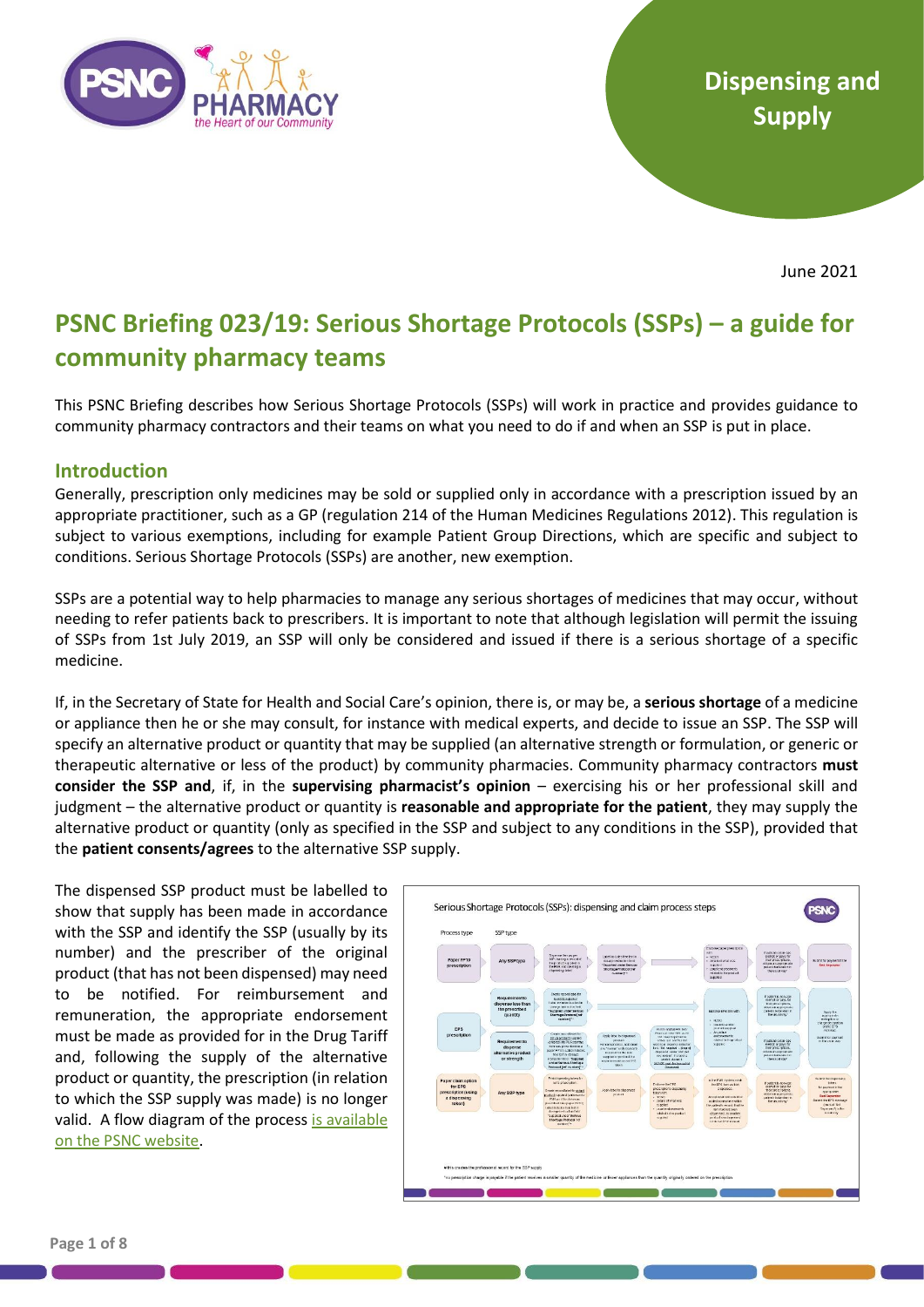

June 2021

# **PSNC Briefing 023/19: Serious Shortage Protocols (SSPs) – a guide for community pharmacy teams**

This PSNC Briefing describes how Serious Shortage Protocols (SSPs) will work in practice and provides guidance to community pharmacy contractors and their teams on what you need to do if and when an SSP is put in place.

### **Introduction**

Generally, prescription only medicines may be sold or supplied only in accordance with a prescription issued by an appropriate practitioner, such as a GP (regulation 214 of the Human Medicines Regulations 2012). This regulation is subject to various exemptions, including for example Patient Group Directions, which are specific and subject to conditions. Serious Shortage Protocols (SSPs) are another, new exemption.

SSPs are a potential way to help pharmacies to manage any serious shortages of medicines that may occur, without needing to refer patients back to prescribers. It is important to note that although legislation will permit the issuing of SSPs from 1st July 2019, an SSP will only be considered and issued if there is a serious shortage of a specific medicine.

If, in the Secretary of State for Health and Social Care's opinion, there is, or may be, a **serious shortage** of a medicine or appliance then he or she may consult, for instance with medical experts, and decide to issue an SSP. The SSP will specify an alternative product or quantity that may be supplied (an alternative strength or formulation, or generic or therapeutic alternative or less of the product) by community pharmacies. Community pharmacy contractors **must consider the SSP and**, if, in the **supervising pharmacist's opinion** – exercising his or her professional skill and judgment – the alternative product or quantity is **reasonable and appropriate for the patient**, they may supply the alternative product or quantity (only as specified in the SSP and subject to any conditions in the SSP), provided that the **patient consents/agrees** to the alternative SSP supply.

The dispensed SSP product must be labelled to show that supply has been made in accordance with the SSP and identify the SSP (usually by its number) and the prescriber of the original product (that has not been dispensed) may need to be notified. For reimbursement and remuneration, the appropriate endorsement must be made as provided for in the Drug Tariff and, following the supply of the alternative product or quantity, the prescription (in relation to which the SSP supply was made) is no longer valid. A flow diagram of the process is available [on the PSNC website.](https://psnc.org.uk/wp-content/uploads/2019/06/Serious-Shortage-Protocols-Process-Steps.pdf)

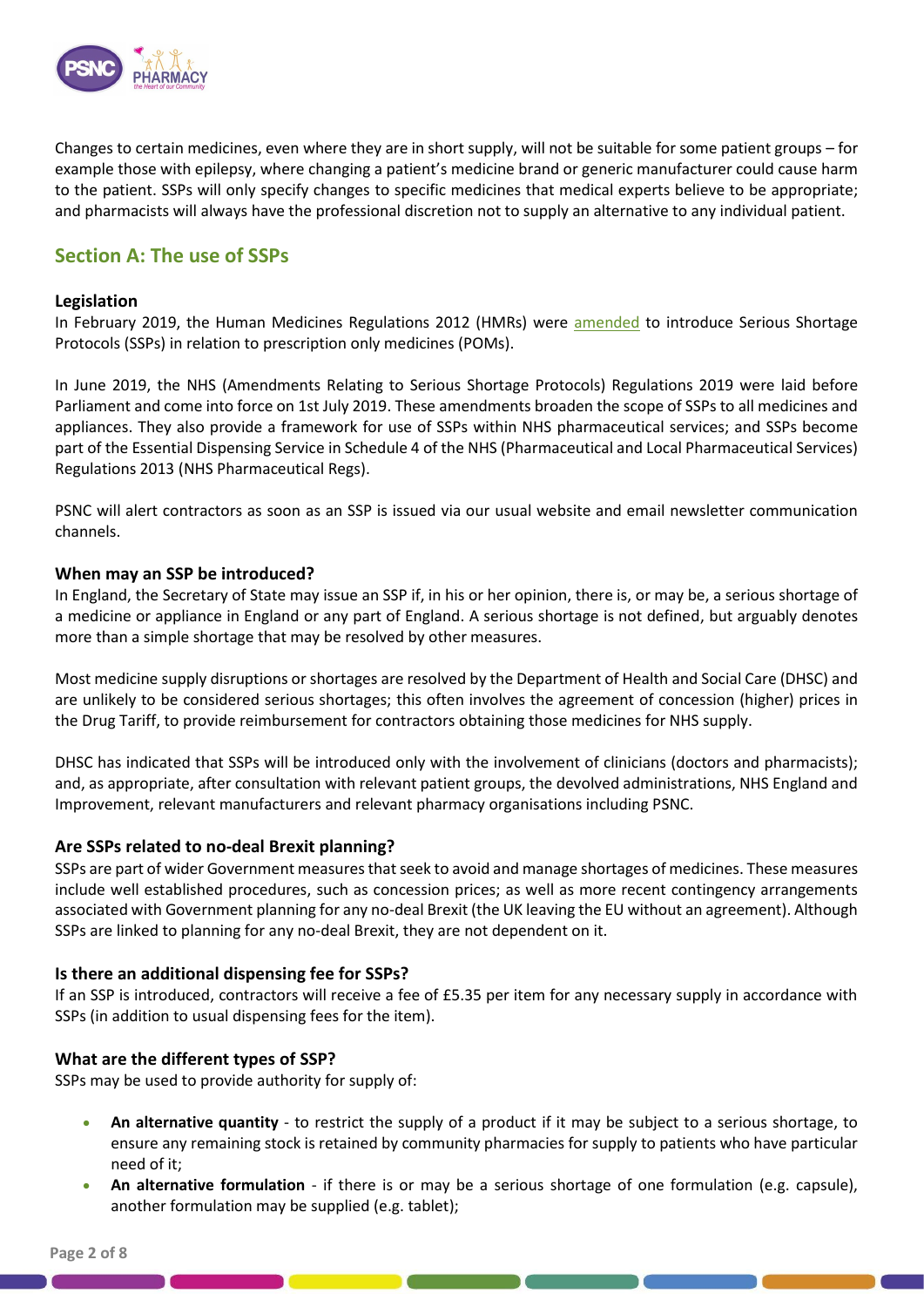

Changes to certain medicines, even where they are in short supply, will not be suitable for some patient groups – for example those with epilepsy, where changing a patient's medicine brand or generic manufacturer could cause harm to the patient. SSPs will only specify changes to specific medicines that medical experts believe to be appropriate; and pharmacists will always have the professional discretion not to supply an alternative to any individual patient.

# **Section A: The use of SSPs**

### **Legislation**

In February 2019, the Human Medicines Regulations 2012 (HMRs) were [amended](http://www.legislation.gov.uk/uksi/2019/62/contents/made) to introduce Serious Shortage Protocols (SSPs) in relation to prescription only medicines (POMs).

In June 2019, the NHS (Amendments Relating to Serious Shortage Protocols) Regulations 2019 were laid before Parliament and come into force on 1st July 2019. These amendments broaden the scope of SSPs to all medicines and appliances. They also provide a framework for use of SSPs within NHS pharmaceutical services; and SSPs become part of the Essential Dispensing Service in Schedule 4 of the NHS (Pharmaceutical and Local Pharmaceutical Services) Regulations 2013 (NHS Pharmaceutical Regs).

PSNC will alert contractors as soon as an SSP is issued via our usual website and email newsletter communication channels.

### **When may an SSP be introduced?**

In England, the Secretary of State may issue an SSP if, in his or her opinion, there is, or may be, a serious shortage of a medicine or appliance in England or any part of England. A serious shortage is not defined, but arguably denotes more than a simple shortage that may be resolved by other measures.

Most medicine supply disruptions or shortages are resolved by the Department of Health and Social Care (DHSC) and are unlikely to be considered serious shortages; this often involves the agreement of concession (higher) prices in the Drug Tariff, to provide reimbursement for contractors obtaining those medicines for NHS supply.

DHSC has indicated that SSPs will be introduced only with the involvement of clinicians (doctors and pharmacists); and, as appropriate, after consultation with relevant patient groups, the devolved administrations, NHS England and Improvement, relevant manufacturers and relevant pharmacy organisations including PSNC.

### **Are SSPs related to no-deal Brexit planning?**

SSPs are part of wider Government measures that seek to avoid and manage shortages of medicines. These measures include well established procedures, such as concession prices; as well as more recent contingency arrangements associated with Government planning for any no-deal Brexit (the UK leaving the EU without an agreement). Although SSPs are linked to planning for any no-deal Brexit, they are not dependent on it.

### **Is there an additional dispensing fee for SSPs?**

If an SSP is introduced, contractors will receive a fee of £5.35 per item for any necessary supply in accordance with SSPs (in addition to usual dispensing fees for the item).

### **What are the different types of SSP?**

SSPs may be used to provide authority for supply of:

- **An alternative quantity** to restrict the supply of a product if it may be subject to a serious shortage, to ensure any remaining stock is retained by community pharmacies for supply to patients who have particular need of it;
- **An alternative formulation**  if there is or may be a serious shortage of one formulation (e.g. capsule), another formulation may be supplied (e.g. tablet);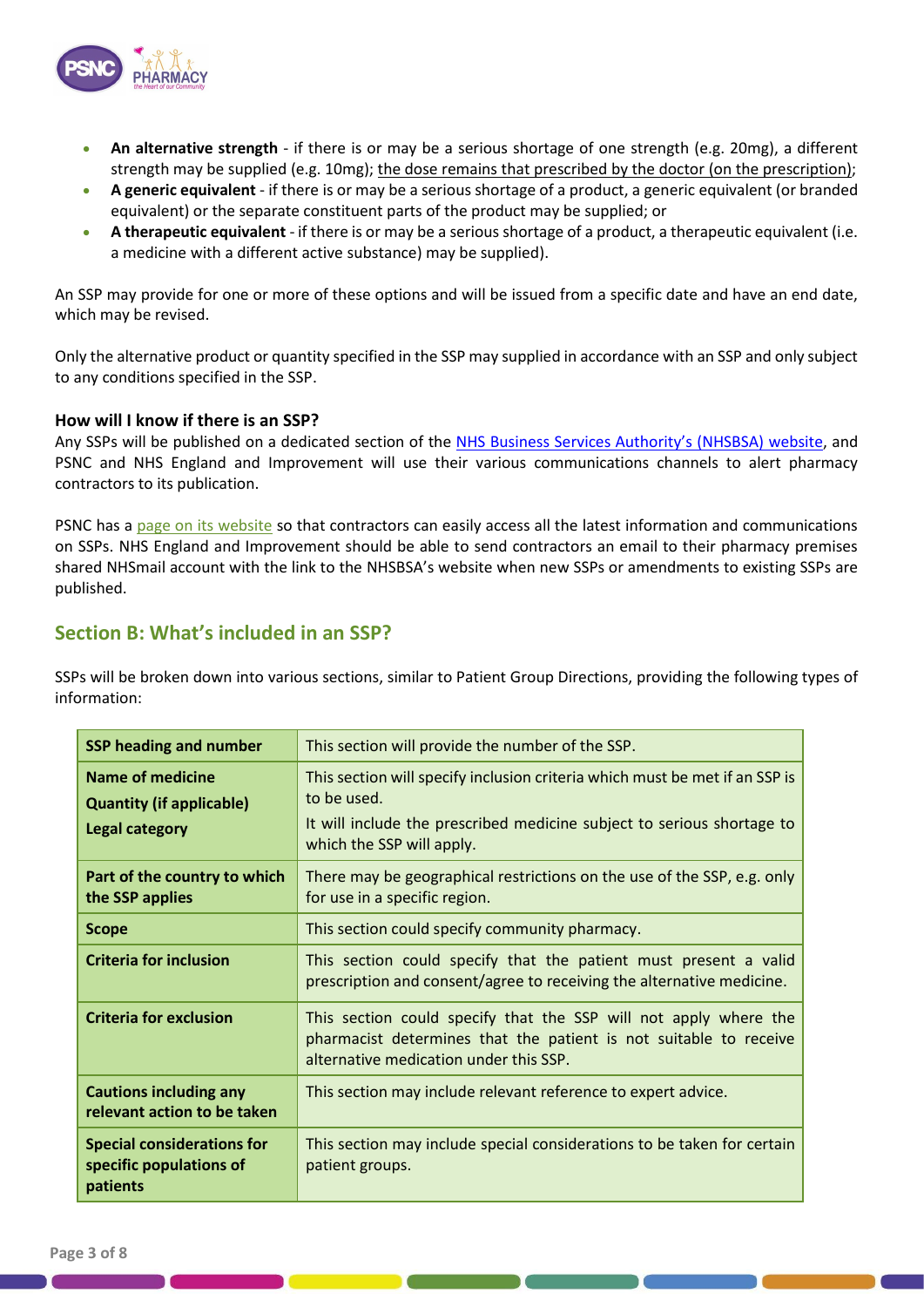

- **An alternative strength**  if there is or may be a serious shortage of one strength (e.g. 20mg), a different strength may be supplied (e.g. 10mg); the dose remains that prescribed by the doctor (on the prescription);
- **A generic equivalent** if there is or may be a serious shortage of a product, a generic equivalent (or branded equivalent) or the separate constituent parts of the product may be supplied; or
- **A therapeutic equivalent** if there is or may be a serious shortage of a product, a therapeutic equivalent (i.e. a medicine with a different active substance) may be supplied).

An SSP may provide for one or more of these options and will be issued from a specific date and have an end date, which may be revised.

Only the alternative product or quantity specified in the SSP may supplied in accordance with an SSP and only subject to any conditions specified in the SSP.

### **How will I know if there is an SSP?**

Any SSPs will be published on a dedicated section of the [NHS Business Services Authority](https://www.nhsbsa.nhs.uk/pharmacies-gp-practices-and-appliance-contractors/serious-shortage-protocols-ssps)'s (NHSBSA) website, and PSNC and NHS England and Improvement will use their various communications channels to alert pharmacy contractors to its publication.

PSNC has a [page on its website](https://psnc.org.uk/contract-it/brexit-and-community-pharmacy/serious-shortage-protocols-ssps/) so that contractors can easily access all the latest information and communications on SSPs. NHS England and Improvement should be able to send contractors an email to their pharmacy premises shared NHSmail account with the link to the NHSBSA's website when new SSPs or amendments to existing SSPs are published.

## **Section B: What's included in an SSP?**

SSPs will be broken down into various sections, similar to Patient Group Directions, providing the following types of information:

| <b>SSP heading and number</b>                                                | This section will provide the number of the SSP.                                                                                                                                                  |
|------------------------------------------------------------------------------|---------------------------------------------------------------------------------------------------------------------------------------------------------------------------------------------------|
| Name of medicine<br><b>Quantity (if applicable)</b><br><b>Legal category</b> | This section will specify inclusion criteria which must be met if an SSP is<br>to be used.<br>It will include the prescribed medicine subject to serious shortage to<br>which the SSP will apply. |
| Part of the country to which<br>the SSP applies                              | There may be geographical restrictions on the use of the SSP, e.g. only<br>for use in a specific region.                                                                                          |
| <b>Scope</b>                                                                 | This section could specify community pharmacy.                                                                                                                                                    |
| <b>Criteria for inclusion</b>                                                | This section could specify that the patient must present a valid<br>prescription and consent/agree to receiving the alternative medicine.                                                         |
| <b>Criteria for exclusion</b>                                                | This section could specify that the SSP will not apply where the<br>pharmacist determines that the patient is not suitable to receive<br>alternative medication under this SSP.                   |
| <b>Cautions including any</b><br>relevant action to be taken                 | This section may include relevant reference to expert advice.                                                                                                                                     |
| <b>Special considerations for</b><br>specific populations of<br>patients     | This section may include special considerations to be taken for certain<br>patient groups.                                                                                                        |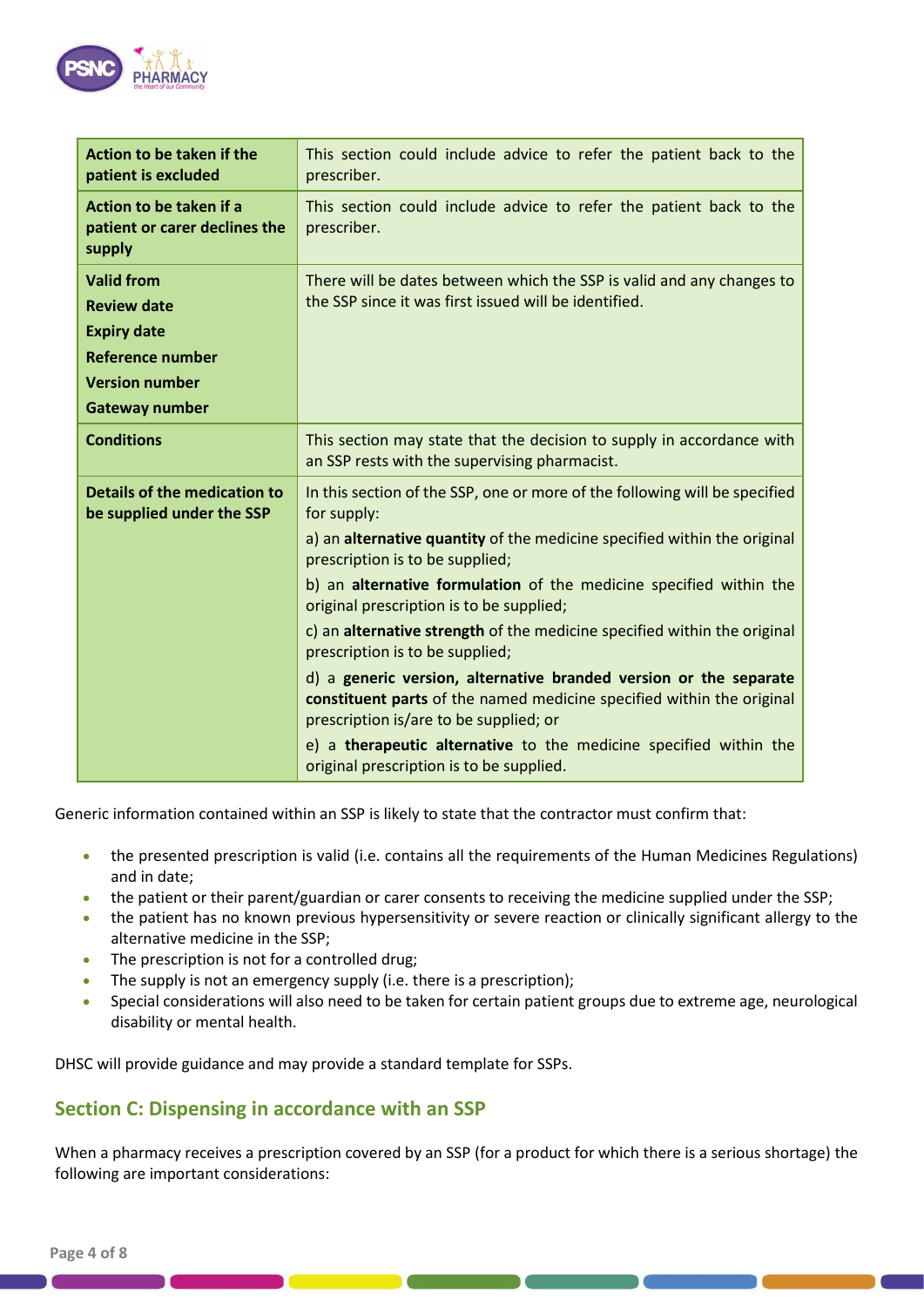

| Action to be taken if the<br>patient is excluded                   | This section could include advice to refer the patient back to the<br>prescriber.                                                                                                    |
|--------------------------------------------------------------------|--------------------------------------------------------------------------------------------------------------------------------------------------------------------------------------|
| Action to be taken if a<br>patient or carer declines the<br>supply | This section could include advice to refer the patient back to the<br>prescriber.                                                                                                    |
| <b>Valid from</b><br><b>Review date</b>                            | There will be dates between which the SSP is valid and any changes to<br>the SSP since it was first issued will be identified.                                                       |
| <b>Expiry date</b>                                                 |                                                                                                                                                                                      |
| <b>Reference number</b>                                            |                                                                                                                                                                                      |
| <b>Version number</b>                                              |                                                                                                                                                                                      |
| <b>Gateway number</b>                                              |                                                                                                                                                                                      |
| <b>Conditions</b>                                                  | This section may state that the decision to supply in accordance with<br>an SSP rests with the supervising pharmacist.                                                               |
| <b>Details of the medication to</b><br>be supplied under the SSP   | In this section of the SSP, one or more of the following will be specified<br>for supply:                                                                                            |
|                                                                    | a) an alternative quantity of the medicine specified within the original<br>prescription is to be supplied;                                                                          |
|                                                                    | b) an alternative formulation of the medicine specified within the<br>original prescription is to be supplied;                                                                       |
|                                                                    | c) an alternative strength of the medicine specified within the original<br>prescription is to be supplied;                                                                          |
|                                                                    | d) a generic version, alternative branded version or the separate<br>constituent parts of the named medicine specified within the original<br>prescription is/are to be supplied; or |
|                                                                    | e) a therapeutic alternative to the medicine specified within the<br>original prescription is to be supplied.                                                                        |

Generic information contained within an SSP is likely to state that the contractor must confirm that:

- the presented prescription is valid (i.e. contains all the requirements of the Human Medicines Regulations) and in date;
- the patient or their parent/guardian or carer consents to receiving the medicine supplied under the SSP;
- the patient has no known previous hypersensitivity or severe reaction or clinically significant allergy to the alternative medicine in the SSP;
- The prescription is not for a controlled drug;
- The supply is not an emergency supply (i.e. there is a prescription);
- Special considerations will also need to be taken for certain patient groups due to extreme age, neurological disability or mental health.

DHSC will provide guidance and may provide a standard template for SSPs.

### **Section C: Dispensing in accordance with an SSP**

When a pharmacy receives a prescription covered by an SSP (for a product for which there is a serious shortage) the following are important considerations: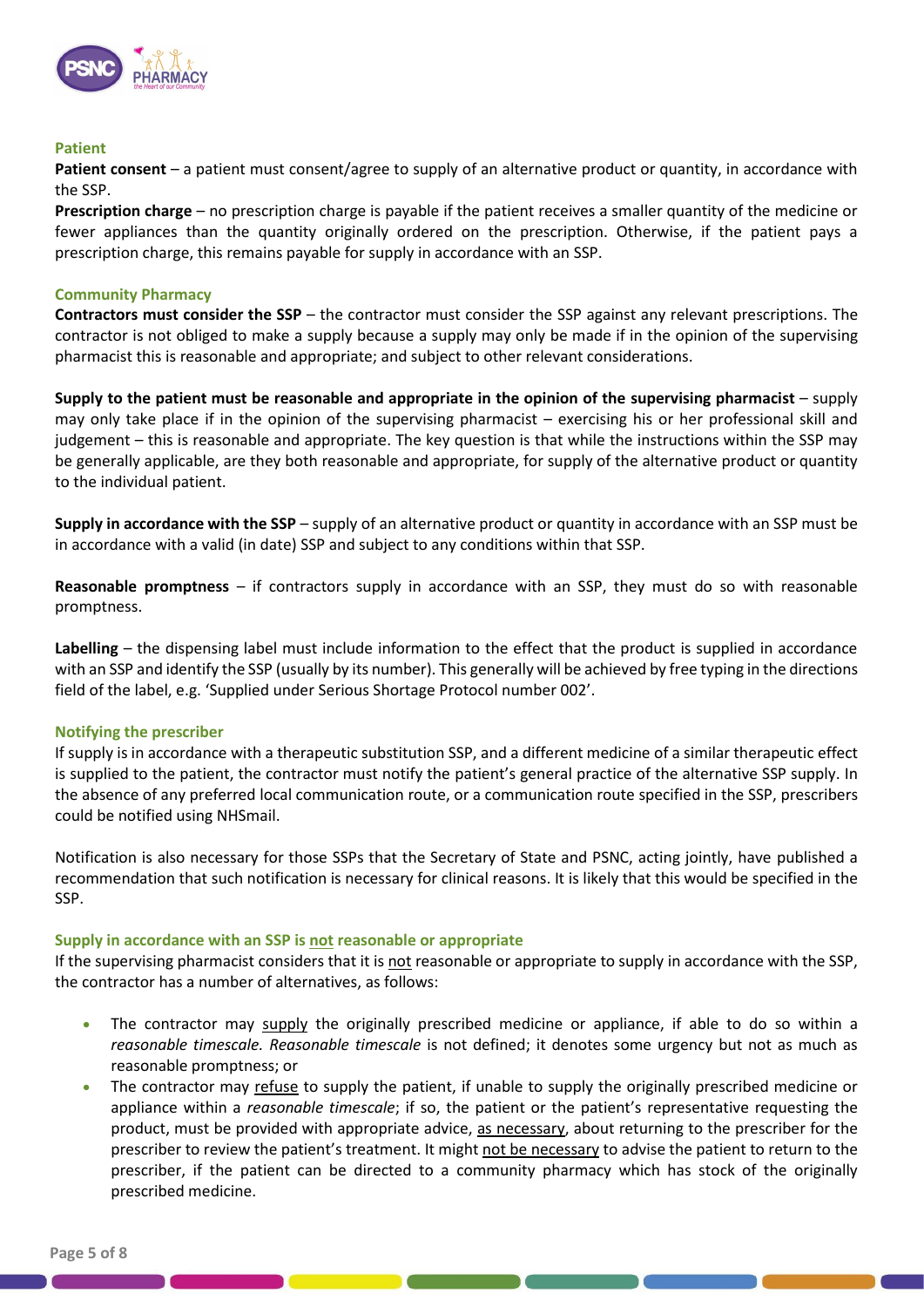

#### **Patient**

**Patient consent** – a patient must consent/agree to supply of an alternative product or quantity, in accordance with the SSP.

**Prescription charge** – no prescription charge is payable if the patient receives a smaller quantity of the medicine or fewer appliances than the quantity originally ordered on the prescription. Otherwise, if the patient pays a prescription charge, this remains payable for supply in accordance with an SSP.

#### **Community Pharmacy**

**Contractors must consider the SSP** – the contractor must consider the SSP against any relevant prescriptions. The contractor is not obliged to make a supply because a supply may only be made if in the opinion of the supervising pharmacist this is reasonable and appropriate; and subject to other relevant considerations.

**Supply to the patient must be reasonable and appropriate in the opinion of the supervising pharmacist** – supply may only take place if in the opinion of the supervising pharmacist – exercising his or her professional skill and judgement – this is reasonable and appropriate. The key question is that while the instructions within the SSP may be generally applicable, are they both reasonable and appropriate, for supply of the alternative product or quantity to the individual patient.

**Supply in accordance with the SSP** – supply of an alternative product or quantity in accordance with an SSP must be in accordance with a valid (in date) SSP and subject to any conditions within that SSP.

**Reasonable promptness** – if contractors supply in accordance with an SSP, they must do so with reasonable promptness.

**Labelling** – the dispensing label must include information to the effect that the product is supplied in accordance with an SSP and identify the SSP (usually by its number). This generally will be achieved by free typing in the directions field of the label, e.g. 'Supplied under Serious Shortage Protocol number 002'.

### **Notifying the prescriber**

If supply is in accordance with a therapeutic substitution SSP, and a different medicine of a similar therapeutic effect is supplied to the patient, the contractor must notify the patient's general practice of the alternative SSP supply. In the absence of any preferred local communication route, or a communication route specified in the SSP, prescribers could be notified using NHSmail.

Notification is also necessary for those SSPs that the Secretary of State and PSNC, acting jointly, have published a recommendation that such notification is necessary for clinical reasons. It is likely that this would be specified in the SSP.

#### **Supply in accordance with an SSP is not reasonable or appropriate**

If the supervising pharmacist considers that it is not reasonable or appropriate to supply in accordance with the SSP, the contractor has a number of alternatives, as follows:

- The contractor may supply the originally prescribed medicine or appliance, if able to do so within a *reasonable timescale. Reasonable timescale* is not defined; it denotes some urgency but not as much as reasonable promptness; or
- The contractor may refuse to supply the patient, if unable to supply the originally prescribed medicine or appliance within a *reasonable timescale*; if so, the patient or the patient's representative requesting the product, must be provided with appropriate advice, as necessary, about returning to the prescriber for the prescriber to review the patient's treatment. It might not be necessary to advise the patient to return to the prescriber, if the patient can be directed to a community pharmacy which has stock of the originally prescribed medicine.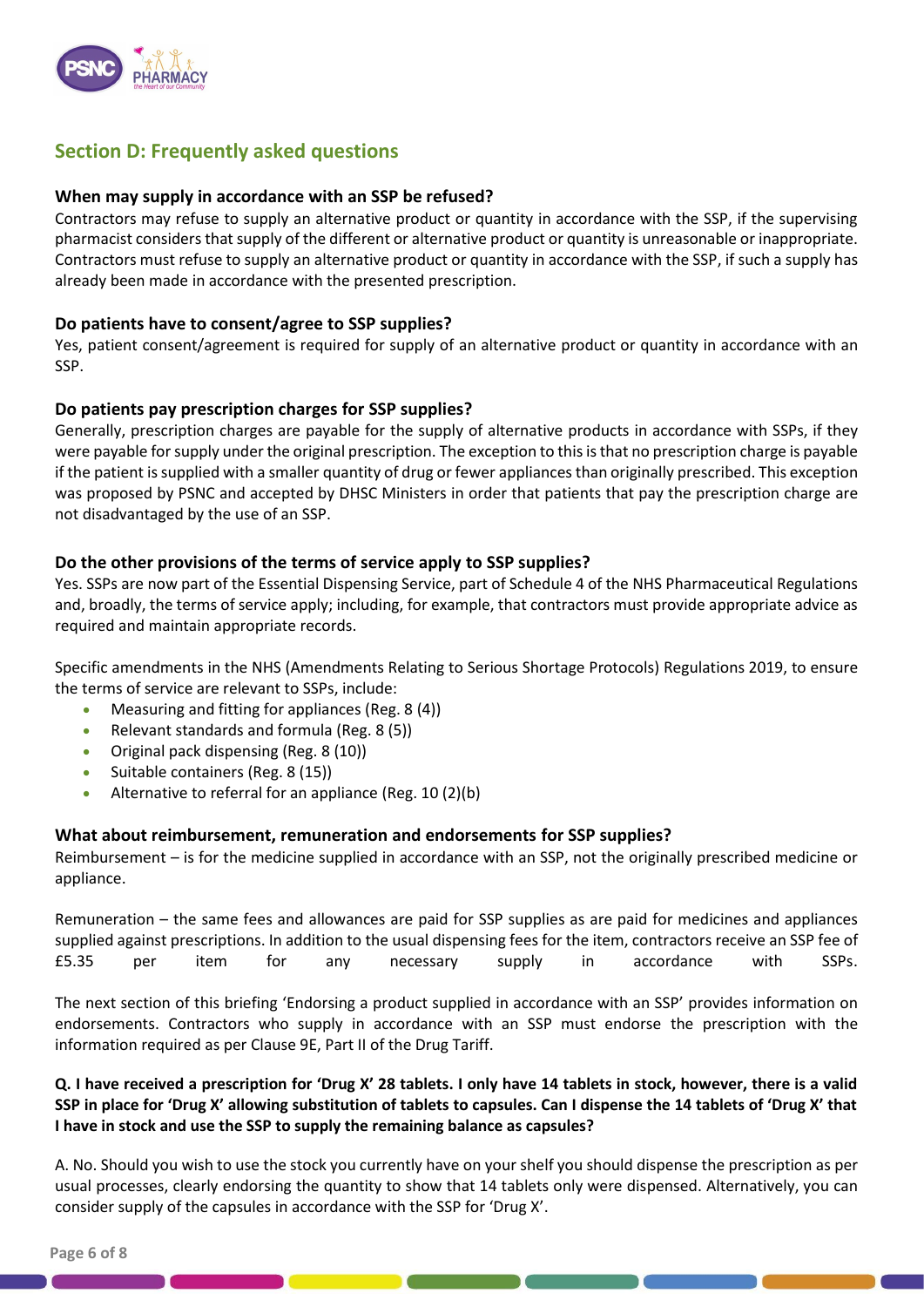

# **Section D: Frequently asked questions**

### **When may supply in accordance with an SSP be refused?**

Contractors may refuse to supply an alternative product or quantity in accordance with the SSP, if the supervising pharmacist considers that supply of the different or alternative product or quantity is unreasonable or inappropriate. Contractors must refuse to supply an alternative product or quantity in accordance with the SSP, if such a supply has already been made in accordance with the presented prescription.

### **Do patients have to consent/agree to SSP supplies?**

Yes, patient consent/agreement is required for supply of an alternative product or quantity in accordance with an SSP.

### **Do patients pay prescription charges for SSP supplies?**

Generally, prescription charges are payable for the supply of alternative products in accordance with SSPs, if they were payable for supply under the original prescription. The exception to this is that no prescription charge is payable if the patient is supplied with a smaller quantity of drug or fewer appliances than originally prescribed. This exception was proposed by PSNC and accepted by DHSC Ministers in order that patients that pay the prescription charge are not disadvantaged by the use of an SSP.

### **Do the other provisions of the terms of service apply to SSP supplies?**

Yes. SSPs are now part of the Essential Dispensing Service, part of Schedule 4 of the NHS Pharmaceutical Regulations and, broadly, the terms of service apply; including, for example, that contractors must provide appropriate advice as required and maintain appropriate records.

Specific amendments in the NHS (Amendments Relating to Serious Shortage Protocols) Regulations 2019, to ensure the terms of service are relevant to SSPs, include:

- Measuring and fitting for appliances (Reg. 8 (4))
- Relevant standards and formula (Reg. 8 (5))
- Original pack dispensing (Reg. 8 (10))
- Suitable containers (Reg. 8 (15))
- Alternative to referral for an appliance (Reg. 10 (2)(b)

### **What about reimbursement, remuneration and endorsements for SSP supplies?**

Reimbursement – is for the medicine supplied in accordance with an SSP, not the originally prescribed medicine or appliance.

Remuneration – the same fees and allowances are paid for SSP supplies as are paid for medicines and appliances supplied against prescriptions. In addition to the usual dispensing fees for the item, contractors receive an SSP fee of £5.35 per item for any necessary supply in accordance with SSPs.

The next section of this briefing 'Endorsing a product supplied in accordance with an SSP' provides information on endorsements. Contractors who supply in accordance with an SSP must endorse the prescription with the information required as per Clause 9E, Part II of the Drug Tariff.

### **Q. I have received a prescription for 'Drug X' 28 tablets. I only have 14 tablets in stock, however, there is a valid SSP in place for 'Drug X' allowing substitution of tablets to capsules. Can I dispense the 14 tablets of 'Drug X' that I have in stock and use the SSP to supply the remaining balance as capsules?**

A. No. Should you wish to use the stock you currently have on your shelf you should dispense the prescription as per usual processes, clearly endorsing the quantity to show that 14 tablets only were dispensed. Alternatively, you can consider supply of the capsules in accordance with the SSP for 'Drug X'.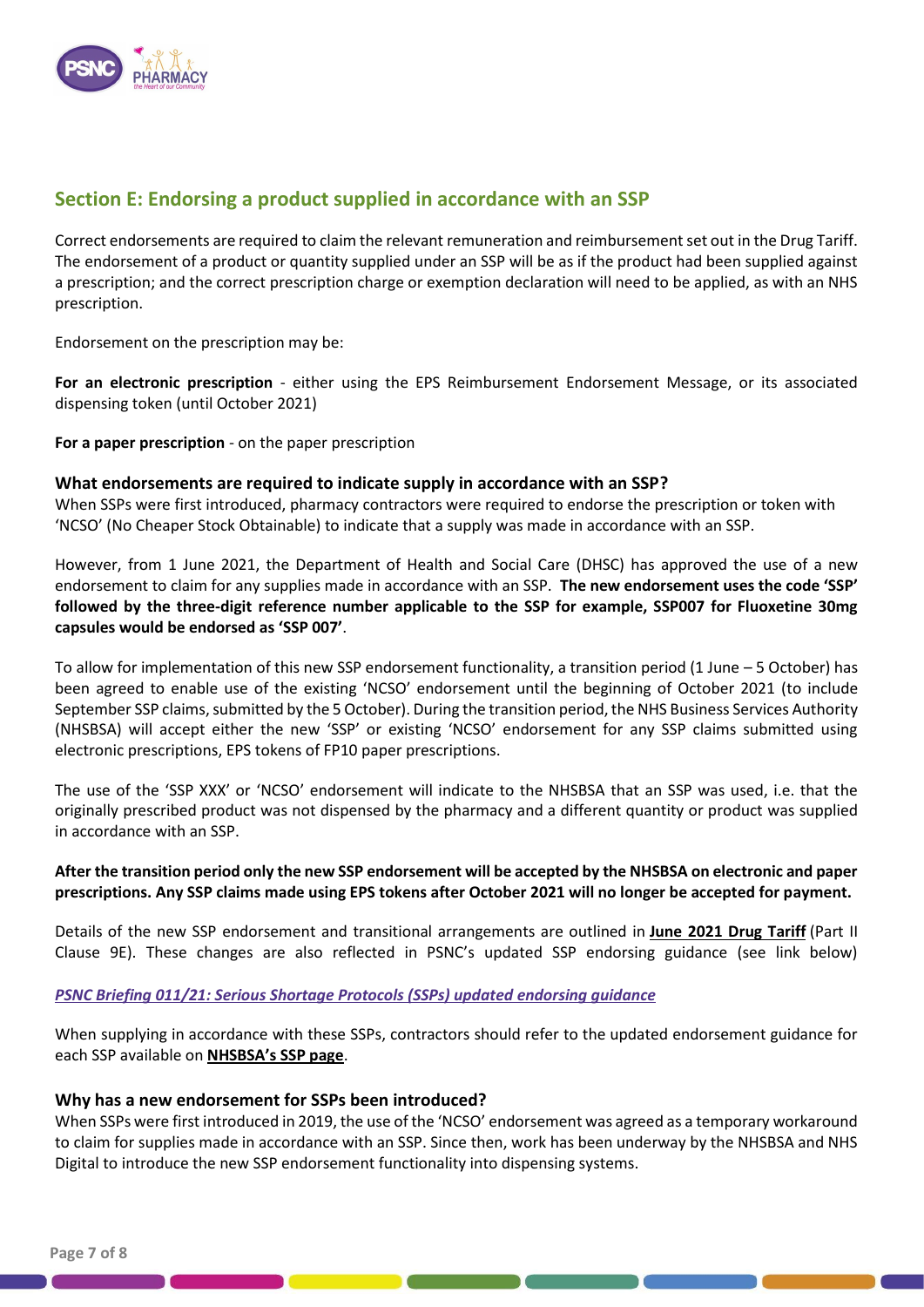

### **Section E: Endorsing a product supplied in accordance with an SSP**

Correct endorsements are required to claim the relevant remuneration and reimbursement set out in the Drug Tariff. The endorsement of a product or quantity supplied under an SSP will be as if the product had been supplied against a prescription; and the correct prescription charge or exemption declaration will need to be applied, as with an NHS prescription.

Endorsement on the prescription may be:

**For an electronic prescription** - either using the EPS Reimbursement Endorsement Message, or its associated dispensing token (until October 2021)

**For a paper prescription** - on the paper prescription

### **What endorsements are required to indicate supply in accordance with an SSP?**

When SSPs were first introduced, pharmacy contractors were required to endorse the prescription or token with 'NCSO' (No Cheaper Stock Obtainable) to indicate that a supply was made in accordance with an SSP.

However, from 1 June 2021, the Department of Health and Social Care (DHSC) has approved the use of a new endorsement to claim for any supplies made in accordance with an SSP. **The new endorsement uses the code 'SSP' followed by the three-digit reference number applicable to the SSP for example, SSP007 for Fluoxetine 30mg capsules would be endorsed as 'SSP 007'**.

To allow for implementation of this new SSP endorsement functionality, a transition period (1 June – 5 October) has been agreed to enable use of the existing 'NCSO' endorsement until the beginning of October 2021 (to include September SSP claims, submitted by the 5 October). During the transition period, the NHS Business Services Authority (NHSBSA) will accept either the new 'SSP' or existing 'NCSO' endorsement for any SSP claims submitted using electronic prescriptions, EPS tokens of FP10 paper prescriptions.

The use of the 'SSP XXX' or 'NCSO' endorsement will indicate to the NHSBSA that an SSP was used, i.e. that the originally prescribed product was not dispensed by the pharmacy and a different quantity or product was supplied in accordance with an SSP.

### **After the transition period only the new SSP endorsement will be accepted by the NHSBSA on electronic and paper prescriptions. Any SSP claims made using EPS tokens after October 2021 will no longer be accepted for payment.**

Details of the new SSP endorsement and transitional arrangements are outlined in **[June 2021 Drug Tariff](https://www.nhsbsa.nhs.uk/pharmacies-gp-practices-and-appliance-contractors/drug-tariff)** (Part II Clause 9E). These changes are also reflected in PSNC's updated SSP endorsing guidance (see link below)

### *[PSNC Briefing 011/21: Serious Shortage Protocols \(SSPs\) updated endorsing guidance](https://psnc.org.uk/wp-content/uploads/2021/05/PSNC-Briefing-011.21-Serious-Shortage-Protocols-SSPs-updated-endorsing-guidance.pdf)*

When supplying in accordance with these SSPs, contractors should refer to the updated endorsement guidance for each SSP available on **NHSBSA's SSP page**.

### **Why has a new endorsement for SSPs been introduced?**

When SSPs were first introduced in 2019, the use of the 'NCSO' endorsement was agreed as a temporary workaround to claim for supplies made in accordance with an SSP. Since then, work has been underway by the NHSBSA and NHS Digital to introduce the new SSP endorsement functionality into dispensing systems.